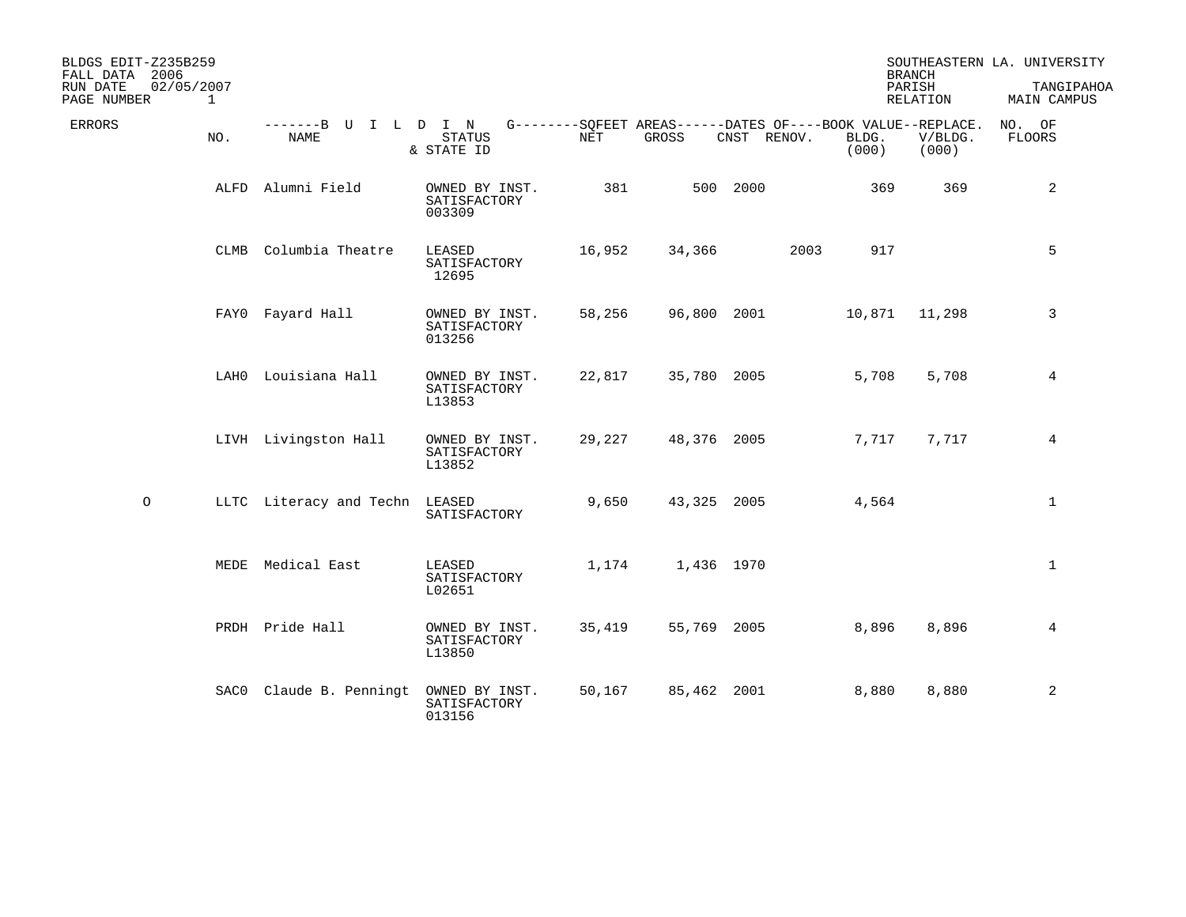| BLDGS EDIT-Z235B259<br>FALL DATA 2006 |             |                                |                                          |        |             |                                                                            |                | <b>BRANCH</b>      | SOUTHEASTERN LA. UNIVERSITY |
|---------------------------------------|-------------|--------------------------------|------------------------------------------|--------|-------------|----------------------------------------------------------------------------|----------------|--------------------|-----------------------------|
| RUN DATE<br>02/05/2007<br>PAGE NUMBER | $\mathbf 1$ |                                |                                          |        |             |                                                                            |                | PARISH<br>RELATION | TANGIPAHOA<br>MAIN CAMPUS   |
| <b>ERRORS</b>                         | NO.         | -------B U I L D I N<br>NAME   | STATUS<br>& STATE ID                     | NET    | GROSS       | G--------SQFEET AREAS------DATES OF----BOOK VALUE--REPLACE.<br>CNST RENOV. | BLDG.<br>(000) | V/BLDG.<br>(000)   | NO. OF<br>FLOORS            |
|                                       |             | ALFD Alumni Field              | OWNED BY INST.<br>SATISFACTORY<br>003309 | 381    |             | 500 2000                                                                   | 369            | 369                | 2                           |
|                                       | CLMB        | Columbia Theatre               | LEASED<br>SATISFACTORY<br>12695          | 16,952 | 34,366      | 2003                                                                       | 917            |                    | 5                           |
|                                       |             | FAYO Fayard Hall               | OWNED BY INST.<br>SATISFACTORY<br>013256 | 58,256 | 96,800 2001 |                                                                            | 10,871         | 11,298             | 3                           |
|                                       |             | LAH0 Louisiana Hall            | OWNED BY INST.<br>SATISFACTORY<br>L13853 | 22,817 | 35,780 2005 |                                                                            | 5,708          | 5,708              | 4                           |
|                                       |             | LIVH Livingston Hall           | OWNED BY INST.<br>SATISFACTORY<br>L13852 | 29,227 | 48,376 2005 |                                                                            | 7,717          | 7,717              | 4                           |
| $\circ$                               |             | LLTC Literacy and Techn LEASED | SATISFACTORY                             | 9,650  | 43,325 2005 |                                                                            | 4,564          |                    | $\mathbf{1}$                |
|                                       |             | MEDE Medical East              | LEASED<br>SATISFACTORY<br>L02651         | 1,174  | 1,436 1970  |                                                                            |                |                    | $\mathbf{1}$                |
|                                       |             | PRDH Pride Hall                | OWNED BY INST.<br>SATISFACTORY<br>L13850 | 35,419 | 55,769 2005 |                                                                            | 8,896          | 8,896              | 4                           |
|                                       |             | SACO Claude B. Penningt        | OWNED BY INST.<br>SATISFACTORY<br>013156 | 50,167 | 85,462 2001 |                                                                            | 8,880          | 8,880              | $\overline{a}$              |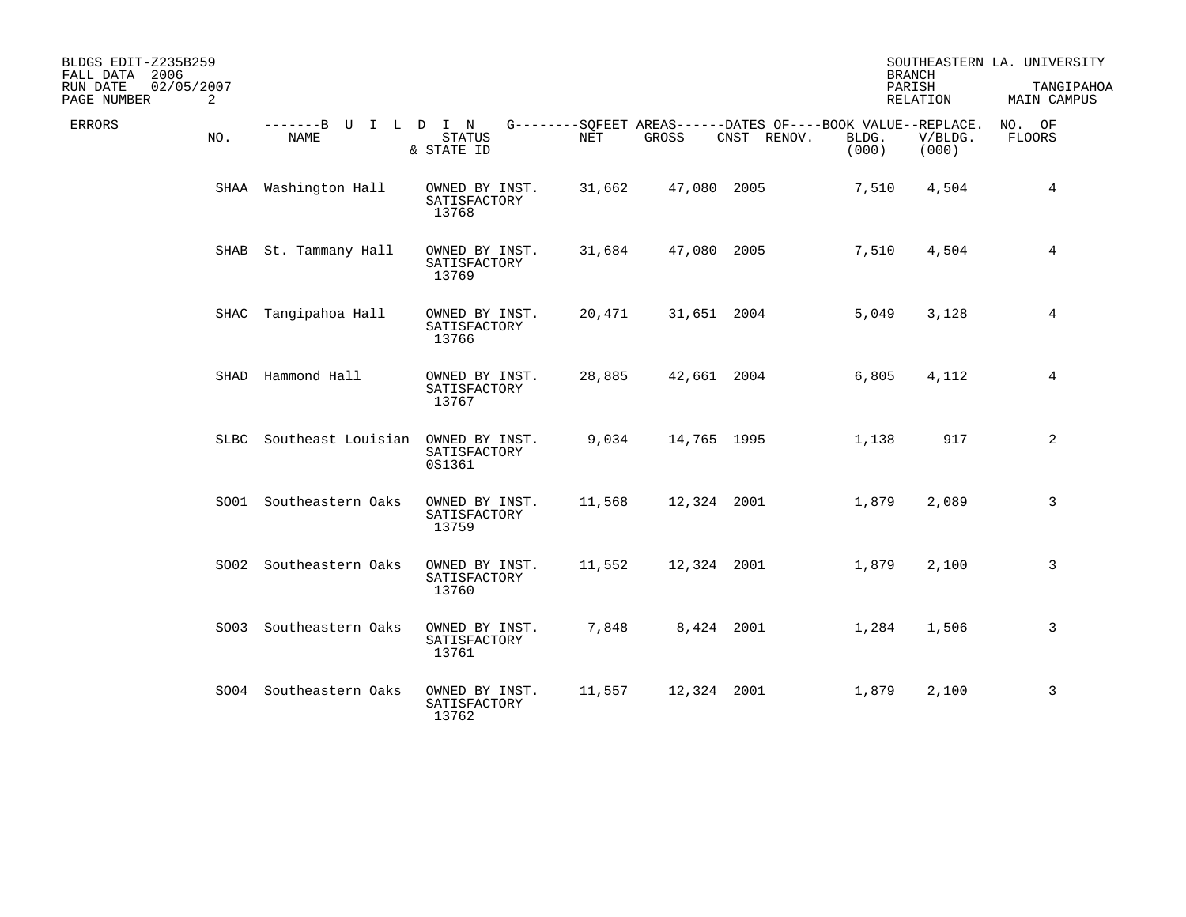| BLDGS EDIT-Z235B259<br>FALL DATA 2006                   |                              |                                          |        |             |                                                                            | <b>BRANCH</b>  |                  | SOUTHEASTERN LA. UNIVERSITY |
|---------------------------------------------------------|------------------------------|------------------------------------------|--------|-------------|----------------------------------------------------------------------------|----------------|------------------|-----------------------------|
| 02/05/2007<br>RUN DATE<br>$\overline{2}$<br>PAGE NUMBER |                              |                                          |        |             |                                                                            | PARISH         | RELATION         | TANGIPAHOA<br>MAIN CAMPUS   |
| <b>ERRORS</b><br>NO.                                    | -------B U I L D I N<br>NAME | STATUS<br>& STATE ID                     | NET    | GROSS       | G--------SQFEET AREAS------DATES OF----BOOK VALUE--REPLACE.<br>CNST RENOV. | BLDG.<br>(000) | V/BLDG.<br>(000) | NO. OF<br><b>FLOORS</b>     |
|                                                         | SHAA Washington Hall         | OWNED BY INST.<br>SATISFACTORY<br>13768  | 31,662 | 47,080 2005 |                                                                            | 7,510          | 4,504            | 4                           |
| SHAB                                                    | St. Tammany Hall             | OWNED BY INST.<br>SATISFACTORY<br>13769  | 31,684 | 47,080 2005 |                                                                            | 7,510          | 4,504            | 4                           |
|                                                         | SHAC Tangipahoa Hall         | OWNED BY INST.<br>SATISFACTORY<br>13766  | 20,471 | 31,651 2004 |                                                                            | 5,049          | 3,128            | 4                           |
|                                                         | SHAD Hammond Hall            | OWNED BY INST.<br>SATISFACTORY<br>13767  | 28,885 | 42,661 2004 |                                                                            | 6,805          | 4,112            | 4                           |
| SLBC                                                    | Southeast Louisian           | OWNED BY INST.<br>SATISFACTORY<br>0S1361 | 9,034  | 14,765 1995 |                                                                            | 1,138          | 917              | 2                           |
|                                                         | SO01 Southeastern Oaks       | OWNED BY INST.<br>SATISFACTORY<br>13759  | 11,568 | 12,324 2001 |                                                                            | 1,879          | 2,089            | 3                           |
|                                                         | SO02 Southeastern Oaks       | OWNED BY INST.<br>SATISFACTORY<br>13760  | 11,552 | 12,324 2001 |                                                                            | 1,879          | 2,100            | 3                           |
| SO03                                                    | Southeastern Oaks            | OWNED BY INST.<br>SATISFACTORY<br>13761  | 7,848  |             | 8,424 2001                                                                 | 1,284          | 1,506            | 3                           |
|                                                         | SO04 Southeastern Oaks       | OWNED BY INST.<br>SATISFACTORY<br>13762  | 11,557 | 12,324 2001 |                                                                            | 1,879          | 2,100            | 3                           |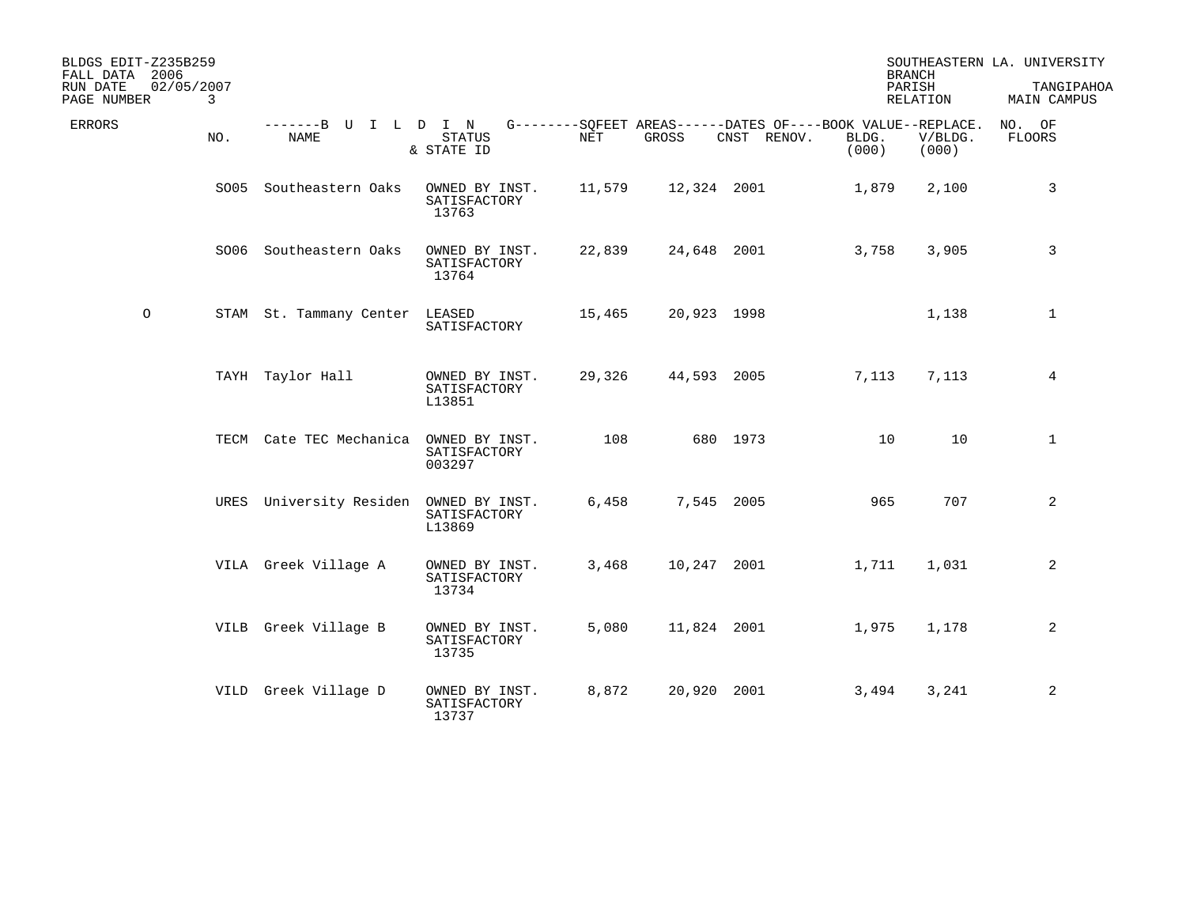| BLDGS EDIT-Z235B259<br>FALL DATA 2006<br>RUN DATE<br>PAGE NUMBER | 02/05/2007<br>3 |                                        |                                          |            |             |                                                                            |                | <b>BRANCH</b><br>PARISH<br>RELATION | SOUTHEASTERN LA. UNIVERSITY<br>TANGIPAHOA<br>MAIN CAMPUS |
|------------------------------------------------------------------|-----------------|----------------------------------------|------------------------------------------|------------|-------------|----------------------------------------------------------------------------|----------------|-------------------------------------|----------------------------------------------------------|
| <b>ERRORS</b>                                                    | NO.             | -------B U<br><b>NAME</b>              | ILDIN<br><b>STATUS</b><br>& STATE ID     | <b>NET</b> | GROSS       | G--------SOFEET AREAS------DATES OF----BOOK VALUE--REPLACE.<br>CNST RENOV. | BLDG.<br>(000) | V/BLDG.<br>(000)                    | NO. OF<br><b>FLOORS</b>                                  |
|                                                                  |                 | SO05 Southeastern Oaks                 | OWNED BY INST.<br>SATISFACTORY<br>13763  | 11,579     | 12,324 2001 |                                                                            | 1,879          | 2,100                               | 3                                                        |
|                                                                  |                 | SO06 Southeastern Oaks                 | OWNED BY INST.<br>SATISFACTORY<br>13764  | 22,839     |             | 24,648 2001                                                                | 3,758          | 3,905                               | 3                                                        |
| $\circ$                                                          |                 | STAM St. Tammany Center LEASED         | SATISFACTORY                             | 15,465     | 20,923 1998 |                                                                            |                | 1,138                               | $\mathbf{1}$                                             |
|                                                                  |                 | TAYH Taylor Hall                       | OWNED BY INST.<br>SATISFACTORY<br>L13851 | 29,326     | 44,593 2005 |                                                                            | 7,113          | 7,113                               | 4                                                        |
|                                                                  |                 | TECM Cate TEC Mechanica OWNED BY INST. | SATISFACTORY<br>003297                   | 108        |             | 680 1973                                                                   | 10             | 10                                  | $\mathbf{1}$                                             |
|                                                                  |                 | URES University Residen OWNED BY INST. | SATISFACTORY<br>L13869                   | 6,458      |             | 7,545 2005                                                                 | 965            | 707                                 | $\overline{a}$                                           |
|                                                                  |                 | VILA Greek Village A                   | OWNED BY INST.<br>SATISFACTORY<br>13734  | 3,468      |             | 10,247 2001                                                                | 1,711          | 1,031                               | 2                                                        |
|                                                                  |                 | VILB Greek Village B                   | OWNED BY INST.<br>SATISFACTORY<br>13735  | 5,080      |             | 11,824 2001                                                                | 1,975          | 1,178                               | 2                                                        |
|                                                                  |                 | VILD Greek Village D                   | OWNED BY INST.<br>SATISFACTORY<br>13737  | 8,872      |             | 20,920 2001                                                                | 3,494          | 3,241                               | 2                                                        |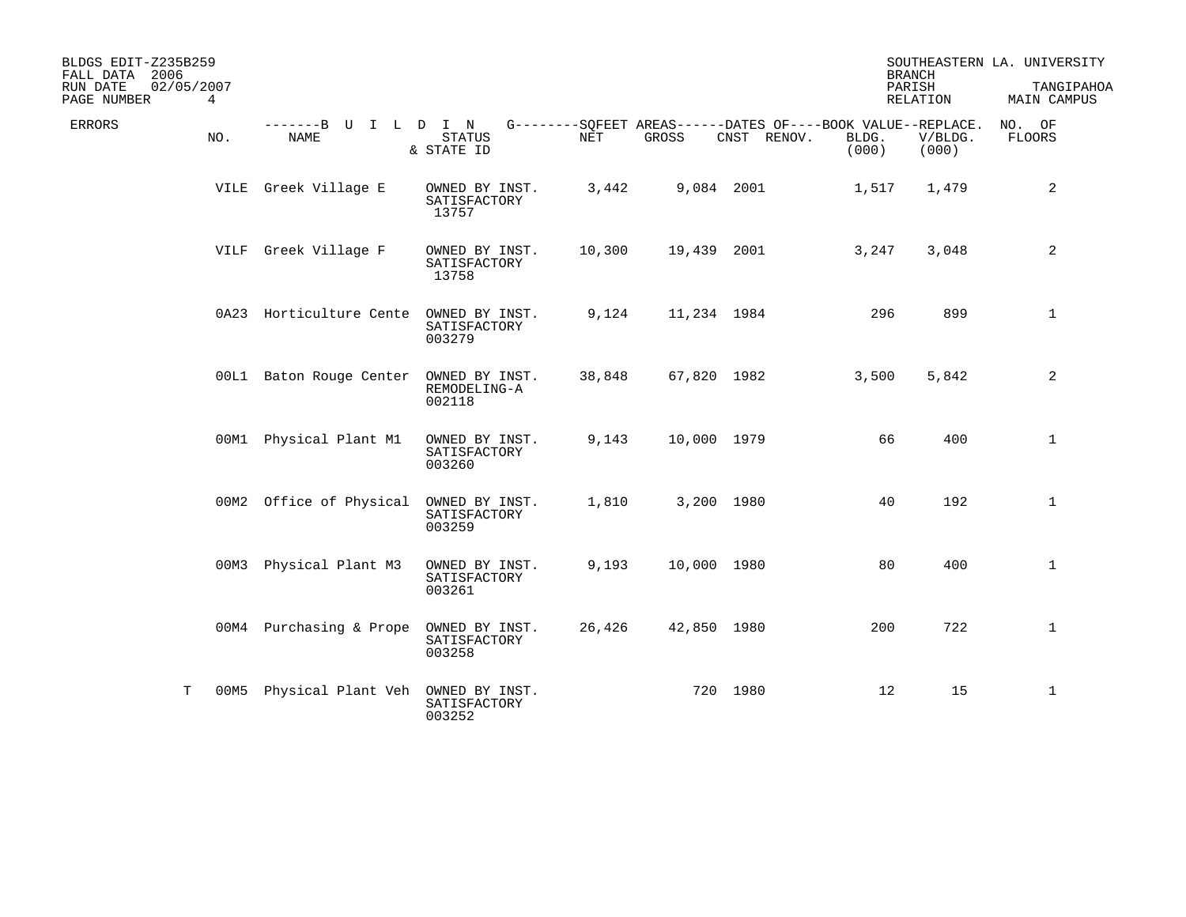| BLDGS EDIT-Z235B259<br>FALL DATA 2006 |                              |                                        |                                          |        |             |                                                                            |                | <b>BRANCH</b>      | SOUTHEASTERN LA. UNIVERSITY |
|---------------------------------------|------------------------------|----------------------------------------|------------------------------------------|--------|-------------|----------------------------------------------------------------------------|----------------|--------------------|-----------------------------|
| RUN DATE<br>PAGE NUMBER               | 02/05/2007<br>$\overline{4}$ |                                        |                                          |        |             |                                                                            |                | PARISH<br>RELATION | TANGIPAHOA<br>MAIN CAMPUS   |
| <b>ERRORS</b>                         | NO.                          | -------B U I L D I N<br>NAME           | <b>STATUS</b><br>& STATE ID              | NET    | GROSS       | G--------SQFEET AREAS------DATES OF----BOOK VALUE--REPLACE.<br>CNST RENOV. | BLDG.<br>(000) | V/BLDG.<br>(000)   | NO. OF<br>FLOORS            |
|                                       |                              | VILE Greek Village E                   | OWNED BY INST.<br>SATISFACTORY<br>13757  | 3,442  |             | 9,084 2001                                                                 | 1,517          | 1,479              | 2                           |
|                                       |                              | VILF Greek Village F                   | OWNED BY INST.<br>SATISFACTORY<br>13758  | 10,300 |             | 19,439 2001                                                                | 3,247          | 3,048              | 2                           |
|                                       |                              | 0A23 Horticulture Cente OWNED BY INST. | SATISFACTORY<br>003279                   | 9,124  |             | 11,234 1984                                                                | 296            | 899                | $\mathbf{1}$                |
|                                       |                              | 00L1 Baton Rouge Center OWNED BY INST. | REMODELING-A<br>002118                   | 38,848 |             | 67,820 1982                                                                | 3,500          | 5,842              | 2                           |
|                                       |                              | 00M1 Physical Plant M1                 | OWNED BY INST.<br>SATISFACTORY<br>003260 | 9,143  | 10,000 1979 |                                                                            | 66             | 400                | $\mathbf{1}$                |
|                                       |                              | 00M2 Office of Physical OWNED BY INST. | SATISFACTORY<br>003259                   | 1,810  |             | 3,200 1980                                                                 | 40             | 192                | $\mathbf{1}$                |
|                                       | 00M3                         | Physical Plant M3                      | OWNED BY INST.<br>SATISFACTORY<br>003261 | 9,193  | 10,000 1980 |                                                                            | 80             | 400                | $\mathbf{1}$                |
|                                       |                              | 00M4 Purchasing & Prope                | OWNED BY INST.<br>SATISFACTORY<br>003258 | 26,426 |             | 42,850 1980                                                                | 200            | 722                | $\mathbf{1}$                |
|                                       | Т<br>00M5                    | Physical Plant Veh OWNED BY INST.      | SATISFACTORY<br>003252                   |        |             | 720 1980                                                                   | 12             | 15                 | $\mathbf{1}$                |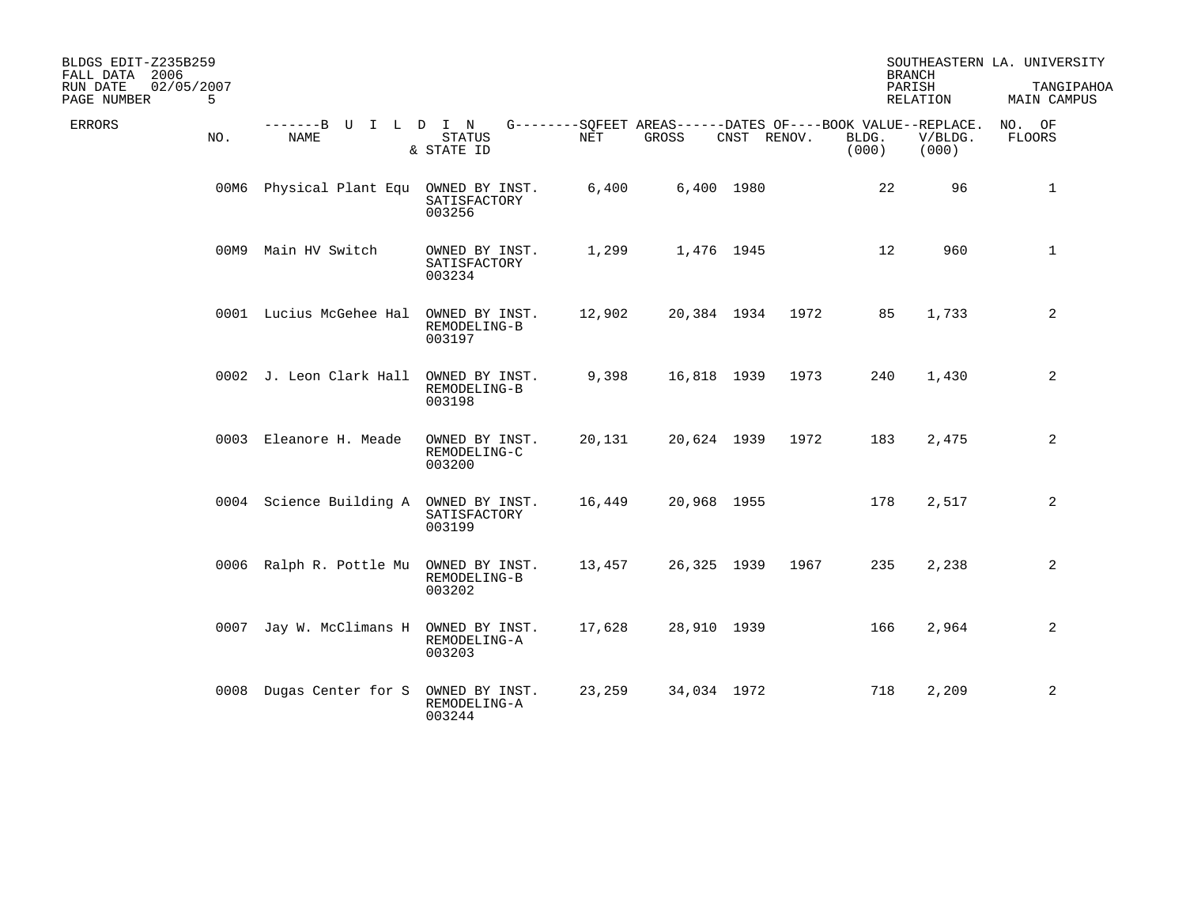| BLDGS EDIT-Z235B259<br>FALL DATA 2006<br>02/05/2007<br>RUN DATE<br>5<br>PAGE NUMBER |                                        |                                          |        |                                                                      |             |      |                | <b>BRANCH</b><br>PARISH<br>RELATION | SOUTHEASTERN LA. UNIVERSITY<br>TANGIPAHOA<br>MAIN CAMPUS |
|-------------------------------------------------------------------------------------|----------------------------------------|------------------------------------------|--------|----------------------------------------------------------------------|-------------|------|----------------|-------------------------------------|----------------------------------------------------------|
| ERRORS<br>NO.                                                                       | -------B U I L D I N<br>NAME           | STATUS<br>& STATE ID                     | NET    | G--------SQFEET AREAS------DATES OF----BOOK VALUE--REPLACE.<br>GROSS | CNST RENOV. |      | BLDG.<br>(000) | V/BLDG.<br>(000)                    | NO. OF<br>FLOORS                                         |
| 00M6                                                                                | Physical Plant Equ OWNED BY INST.      | SATISFACTORY<br>003256                   | 6,400  |                                                                      | 6,400 1980  |      | 22             | 96                                  | $\mathbf{1}$                                             |
| 00M9                                                                                | Main HV Switch                         | OWNED BY INST.<br>SATISFACTORY<br>003234 | 1,299  |                                                                      | 1,476 1945  |      | 12             | 960                                 | $\mathbf{1}$                                             |
|                                                                                     | 0001 Lucius McGehee Hal                | OWNED BY INST.<br>REMODELING-B<br>003197 | 12,902 | 20,384 1934                                                          |             | 1972 | 85             | 1,733                               | 2                                                        |
|                                                                                     | 0002 J. Leon Clark Hall                | OWNED BY INST.<br>REMODELING-B<br>003198 | 9,398  | 16,818 1939                                                          |             | 1973 | 240            | 1,430                               | 2                                                        |
|                                                                                     | 0003 Eleanore H. Meade                 | OWNED BY INST.<br>REMODELING-C<br>003200 | 20,131 | 20,624 1939                                                          |             | 1972 | 183            | 2,475                               | 2                                                        |
|                                                                                     | 0004 Science Building A OWNED BY INST. | SATISFACTORY<br>003199                   | 16,449 | 20,968 1955                                                          |             |      | 178            | 2,517                               | $\overline{a}$                                           |
|                                                                                     | 0006 Ralph R. Pottle Mu                | OWNED BY INST.<br>REMODELING-B<br>003202 | 13,457 | 26,325 1939                                                          |             | 1967 | 235            | 2,238                               | 2                                                        |
|                                                                                     | 0007 Jay W. McClimans H OWNED BY INST. | REMODELING-A<br>003203                   | 17,628 | 28,910 1939                                                          |             |      | 166            | 2,964                               | 2                                                        |
|                                                                                     | 0008 Dugas Center for S                | OWNED BY INST.<br>REMODELING-A<br>003244 | 23,259 | 34,034 1972                                                          |             |      | 718            | 2,209                               | 2                                                        |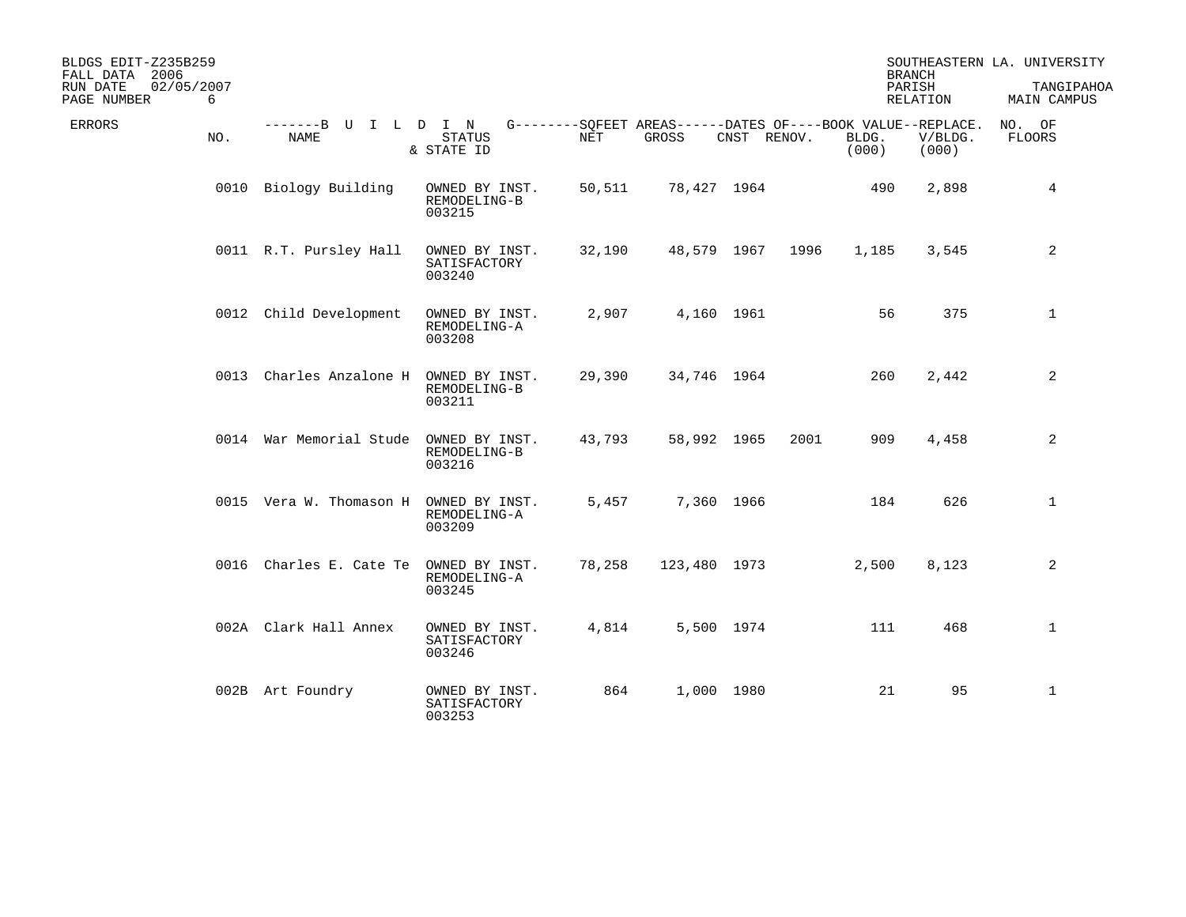| BLDGS EDIT-Z235B259<br>FALL DATA 2006<br>02/05/2007<br>RUN DATE<br>6<br>PAGE NUMBER |                                        |                                          |            |                                                                      |             |      |                | <b>BRANCH</b><br>PARISH<br>RELATION | SOUTHEASTERN LA. UNIVERSITY<br>TANGIPAHOA<br>MAIN CAMPUS |
|-------------------------------------------------------------------------------------|----------------------------------------|------------------------------------------|------------|----------------------------------------------------------------------|-------------|------|----------------|-------------------------------------|----------------------------------------------------------|
| <b>ERRORS</b><br>NO.                                                                | -------B U I L D I N<br>NAME           | <b>STATUS</b><br>& STATE ID              | <b>NET</b> | G--------SQFEET AREAS------DATES OF----BOOK VALUE--REPLACE.<br>GROSS | CNST RENOV. |      | BLDG.<br>(000) | V/BLDG.<br>(000)                    | NO. OF<br><b>FLOORS</b>                                  |
|                                                                                     | 0010 Biology Building                  | OWNED BY INST.<br>REMODELING-B<br>003215 | 50,511     | 78,427 1964                                                          |             |      | 490            | 2,898                               | 4                                                        |
|                                                                                     | 0011 R.T. Pursley Hall                 | OWNED BY INST.<br>SATISFACTORY<br>003240 | 32,190     | 48,579 1967                                                          |             | 1996 | 1,185          | 3,545                               | 2                                                        |
|                                                                                     | 0012 Child Development                 | OWNED BY INST.<br>REMODELING-A<br>003208 | 2,907      |                                                                      | 4,160 1961  |      | 56             | 375                                 | $\mathbf{1}$                                             |
|                                                                                     | 0013 Charles Anzalone H                | OWNED BY INST.<br>REMODELING-B<br>003211 | 29,390     | 34,746 1964                                                          |             |      | 260            | 2,442                               | 2                                                        |
|                                                                                     | 0014 War Memorial Stude OWNED BY INST. | REMODELING-B<br>003216                   | 43,793     |                                                                      | 58,992 1965 | 2001 | 909            | 4,458                               | 2                                                        |
|                                                                                     | 0015 Vera W. Thomason H                | OWNED BY INST.<br>REMODELING-A<br>003209 | 5,457      |                                                                      | 7,360 1966  |      | 184            | 626                                 | $\mathbf{1}$                                             |
|                                                                                     | 0016 Charles E. Cate Te                | OWNED BY INST.<br>REMODELING-A<br>003245 | 78,258     | 123,480 1973                                                         |             |      | 2,500          | 8,123                               | 2                                                        |
|                                                                                     | 002A Clark Hall Annex                  | OWNED BY INST.<br>SATISFACTORY<br>003246 | 4,814      |                                                                      | 5,500 1974  |      | 111            | 468                                 | $\mathbf{1}$                                             |
|                                                                                     | 002B Art Foundry                       | OWNED BY INST.<br>SATISFACTORY<br>003253 | 864        |                                                                      | 1,000 1980  |      | 21             | 95                                  | $\mathbf{1}$                                             |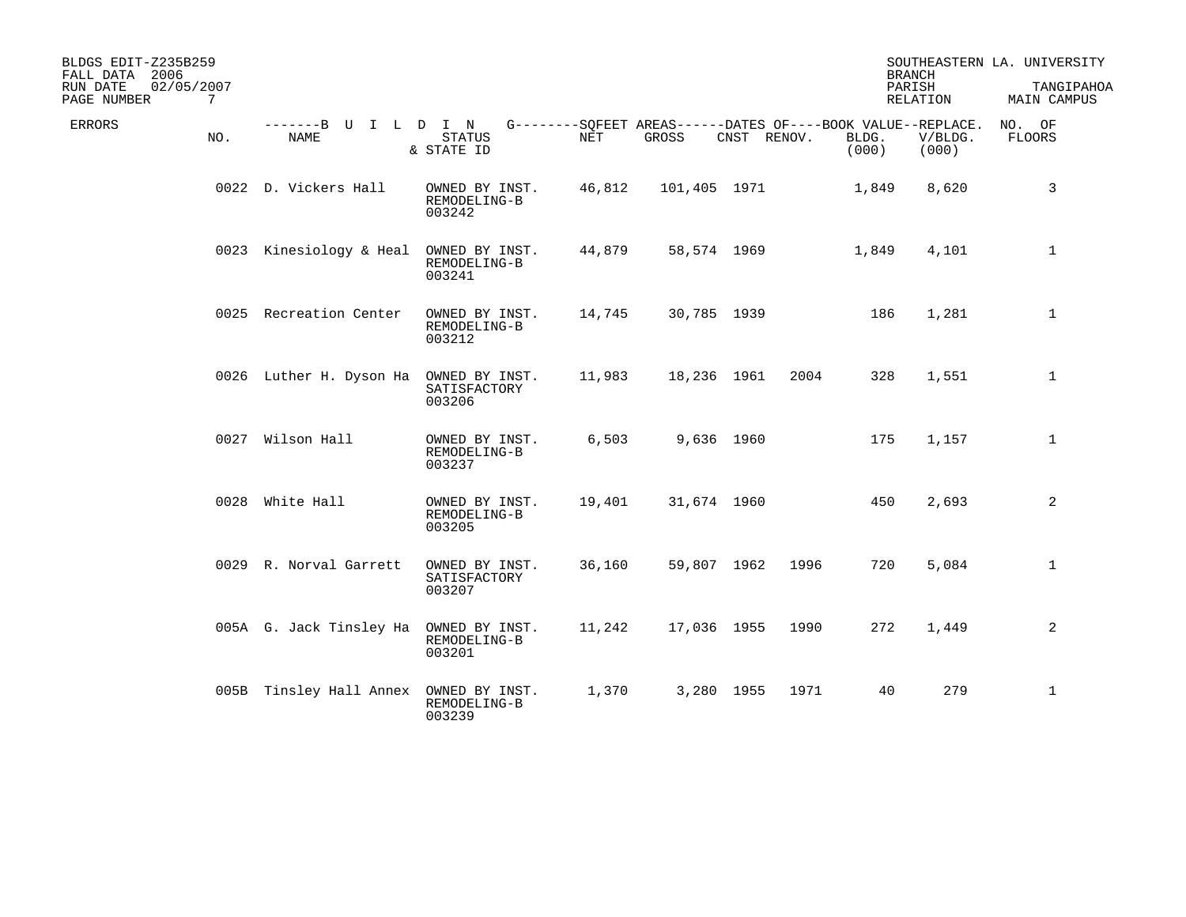| BLDGS EDIT-Z235B259<br>FALL DATA 2006<br>02/05/2007<br>RUN DATE<br>7<br>PAGE NUMBER |                                        |                                          |            |              |             |      |                                                                               | <b>BRANCH</b><br>PARISH<br>RELATION | SOUTHEASTERN LA. UNIVERSITY<br>TANGIPAHOA<br>MAIN CAMPUS |
|-------------------------------------------------------------------------------------|----------------------------------------|------------------------------------------|------------|--------------|-------------|------|-------------------------------------------------------------------------------|-------------------------------------|----------------------------------------------------------|
| <b>ERRORS</b><br>NO.                                                                | -------B U<br><b>NAME</b>              | ILDIN<br><b>STATUS</b><br>& STATE ID     | <b>NET</b> | GROSS        | CNST RENOV. |      | G--------SOFEET AREAS------DATES OF----BOOK VALUE--REPLACE.<br>BLDG.<br>(000) | V/BLDG.<br>(000)                    | NO. OF<br><b>FLOORS</b>                                  |
|                                                                                     | 0022 D. Vickers Hall                   | OWNED BY INST.<br>REMODELING-B<br>003242 | 46,812     | 101,405 1971 |             |      | 1,849                                                                         | 8,620                               | 3                                                        |
|                                                                                     | 0023 Kinesiology & Heal                | OWNED BY INST.<br>REMODELING-B<br>003241 | 44,879     |              | 58,574 1969 |      | 1,849                                                                         | 4,101                               | $\mathbf{1}$                                             |
|                                                                                     | 0025 Recreation Center                 | OWNED BY INST.<br>REMODELING-B<br>003212 | 14,745     |              | 30,785 1939 |      | 186                                                                           | 1,281                               | $\mathbf{1}$                                             |
|                                                                                     | 0026 Luther H. Dyson Ha OWNED BY INST. | SATISFACTORY<br>003206                   | 11,983     |              | 18,236 1961 | 2004 | 328                                                                           | 1,551                               | $\mathbf{1}$                                             |
|                                                                                     | 0027 Wilson Hall                       | OWNED BY INST.<br>REMODELING-B<br>003237 | 6,503      |              | 9,636 1960  |      | 175                                                                           | 1,157                               | $\mathbf{1}$                                             |
|                                                                                     | 0028 White Hall                        | OWNED BY INST.<br>REMODELING-B<br>003205 | 19,401     |              | 31,674 1960 |      | 450                                                                           | 2,693                               | 2                                                        |
|                                                                                     | 0029 R. Norval Garrett                 | OWNED BY INST.<br>SATISFACTORY<br>003207 | 36,160     |              | 59,807 1962 | 1996 | 720                                                                           | 5,084                               | 1                                                        |
|                                                                                     | 005A G. Jack Tinsley Ha OWNED BY INST. | REMODELING-B<br>003201                   | 11,242     |              | 17,036 1955 | 1990 | 272                                                                           | 1,449                               | 2                                                        |
|                                                                                     | 005B Tinsley Hall Annex OWNED BY INST. | REMODELING-B<br>003239                   | 1,370      |              | 3,280 1955  | 1971 | 40                                                                            | 279                                 | $\mathbf{1}$                                             |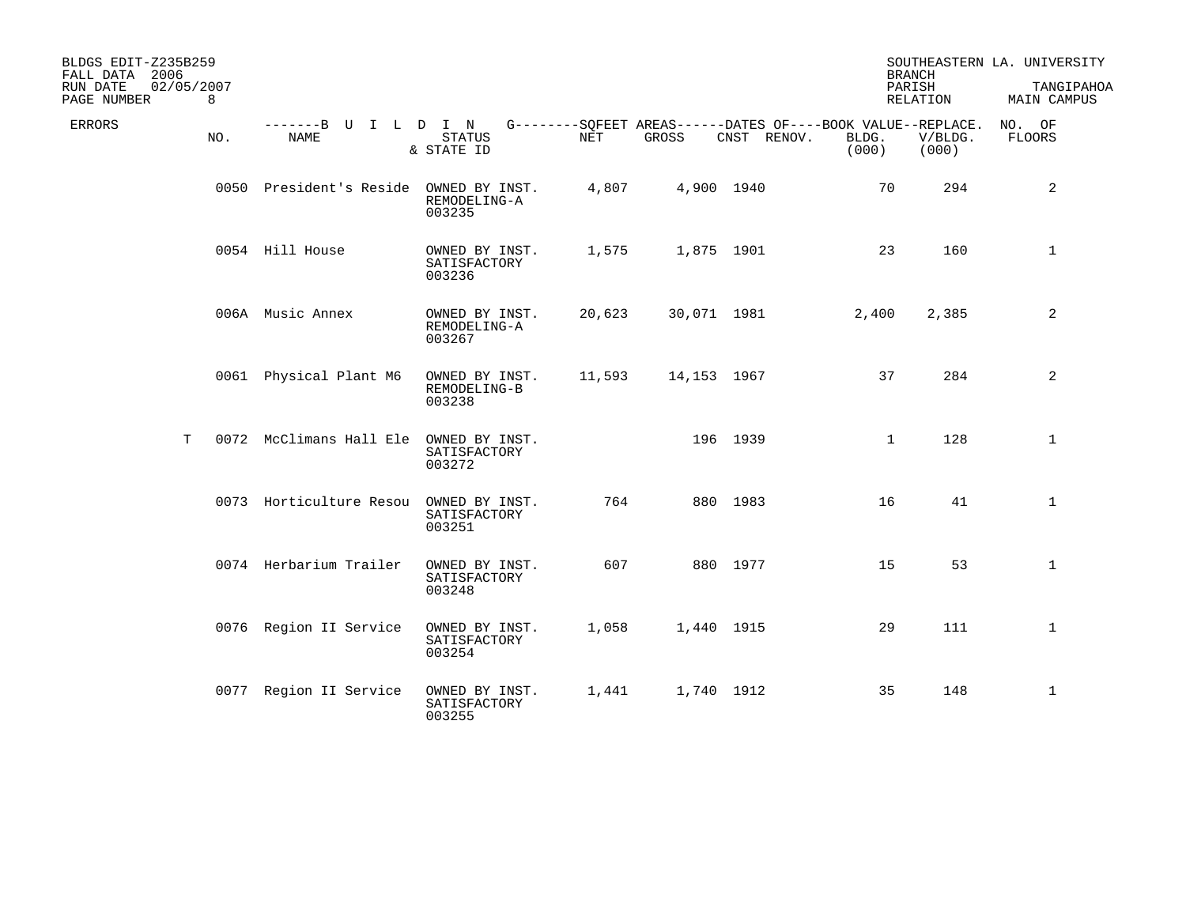| BLDGS EDIT-Z235B259<br>FALL DATA 2006<br>RUN DATE<br>PAGE NUMBER | 02/05/2007<br>8 |                                        |                                          |        |             |                                                                            | <b>BRANCH</b><br>PARISH | RELATION         | SOUTHEASTERN LA. UNIVERSITY<br>TANGIPAHOA<br>MAIN CAMPUS |
|------------------------------------------------------------------|-----------------|----------------------------------------|------------------------------------------|--------|-------------|----------------------------------------------------------------------------|-------------------------|------------------|----------------------------------------------------------|
| ERRORS                                                           | NO.             | -------B U I L D I N<br>NAME           | STATUS<br>& STATE ID                     | NET    | GROSS       | G--------SQFEET AREAS------DATES OF----BOOK VALUE--REPLACE.<br>CNST RENOV. | BLDG.<br>(000)          | V/BLDG.<br>(000) | NO. OF<br>FLOORS                                         |
|                                                                  |                 | 0050 President's Reside OWNED BY INST. | REMODELING-A<br>003235                   | 4,807  | 4,900 1940  |                                                                            | 70                      | 294              | $\overline{a}$                                           |
|                                                                  |                 | 0054 Hill House                        | OWNED BY INST.<br>SATISFACTORY<br>003236 | 1,575  | 1,875 1901  |                                                                            | 23                      | 160              | $\mathbf{1}$                                             |
|                                                                  |                 | 006A Music Annex                       | OWNED BY INST.<br>REMODELING-A<br>003267 | 20,623 | 30,071 1981 |                                                                            | 2,400                   | 2,385            | 2                                                        |
|                                                                  |                 | 0061 Physical Plant M6                 | OWNED BY INST.<br>REMODELING-B<br>003238 | 11,593 | 14,153 1967 |                                                                            | 37                      | 284              | $\overline{a}$                                           |
|                                                                  | Т               | 0072 McClimans Hall Ele                | OWNED BY INST.<br>SATISFACTORY<br>003272 |        |             | 196 1939                                                                   | $\mathbf{1}$            | 128              | $\mathbf{1}$                                             |
|                                                                  |                 | 0073 Horticulture Resou                | OWNED BY INST.<br>SATISFACTORY<br>003251 | 764    |             | 880 1983                                                                   | 16                      | 41               | $\mathbf{1}$                                             |
|                                                                  |                 | 0074 Herbarium Trailer                 | OWNED BY INST.<br>SATISFACTORY<br>003248 | 607    |             | 880 1977                                                                   | 15                      | 53               | $\mathbf{1}$                                             |
|                                                                  |                 | 0076 Region II Service                 | OWNED BY INST.<br>SATISFACTORY<br>003254 | 1,058  | 1,440 1915  |                                                                            | 29                      | 111              | $\mathbf{1}$                                             |
|                                                                  |                 | 0077 Region II Service                 | OWNED BY INST.<br>SATISFACTORY<br>003255 | 1,441  | 1,740 1912  |                                                                            | 35                      | 148              | $\mathbf{1}$                                             |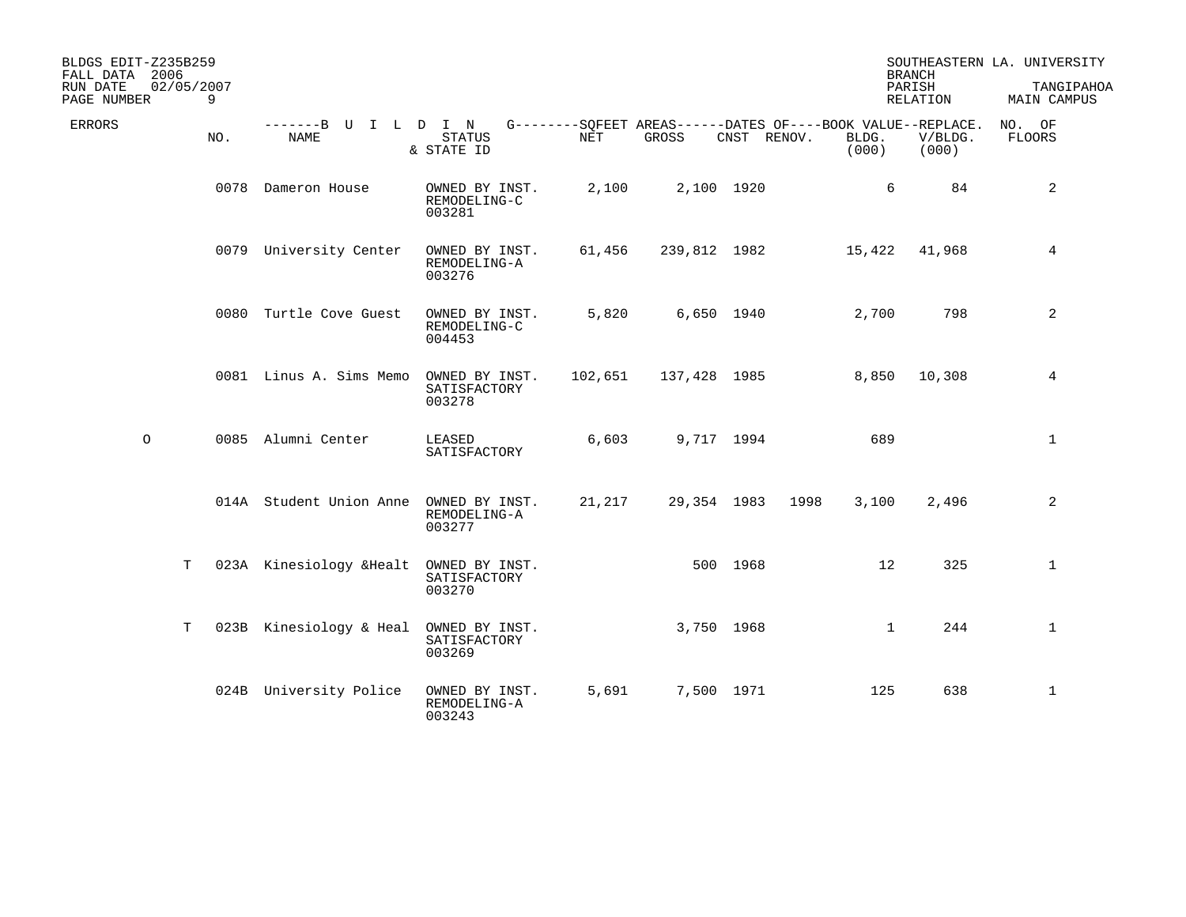| BLDGS EDIT-Z235B259<br>FALL DATA 2006 |         |                 |                                        |                                          |         |              |             |      | <b>BRANCH</b>                                                                 |                  | SOUTHEASTERN LA. UNIVERSITY |
|---------------------------------------|---------|-----------------|----------------------------------------|------------------------------------------|---------|--------------|-------------|------|-------------------------------------------------------------------------------|------------------|-----------------------------|
| RUN DATE<br>PAGE NUMBER               |         | 02/05/2007<br>9 |                                        |                                          |         |              |             |      | PARISH                                                                        | RELATION         | TANGIPAHOA<br>MAIN CAMPUS   |
| <b>ERRORS</b>                         |         | NO.             | -------B U I L D I N<br>NAME           | STATUS<br>& STATE ID                     | NET     | GROSS        | CNST RENOV. |      | G--------SQFEET AREAS------DATES OF----BOOK VALUE--REPLACE.<br>BLDG.<br>(000) | V/BLDG.<br>(000) | NO. OF<br><b>FLOORS</b>     |
|                                       |         |                 | 0078 Dameron House                     | OWNED BY INST.<br>REMODELING-C<br>003281 | 2,100   |              | 2,100 1920  |      | 6                                                                             | 84               | $\overline{a}$              |
|                                       |         |                 | 0079 University Center                 | OWNED BY INST.<br>REMODELING-A<br>003276 | 61,456  | 239,812 1982 |             |      | 15,422                                                                        | 41,968           | 4                           |
|                                       |         |                 | 0080 Turtle Cove Guest                 | OWNED BY INST.<br>REMODELING-C<br>004453 | 5,820   |              | 6,650 1940  |      | 2,700                                                                         | 798              | 2                           |
|                                       |         |                 | 0081 Linus A. Sims Memo                | OWNED BY INST.<br>SATISFACTORY<br>003278 | 102,651 | 137,428 1985 |             |      | 8,850                                                                         | 10,308           | 4                           |
|                                       | $\circ$ |                 | 0085 Alumni Center                     | LEASED<br>SATISFACTORY                   | 6,603   |              | 9,717 1994  |      | 689                                                                           |                  | 1                           |
|                                       |         |                 | 014A Student Union Anne                | OWNED BY INST.<br>REMODELING-A<br>003277 | 21,217  |              | 29,354 1983 | 1998 | 3,100                                                                         | 2,496            | 2                           |
|                                       |         | T               | 023A Kinesiology & Healt               | OWNED BY INST.<br>SATISFACTORY<br>003270 |         |              | 500 1968    |      | 12                                                                            | 325              | $\mathbf{1}$                |
|                                       |         | T               | 023B Kinesiology & Heal OWNED BY INST. | SATISFACTORY<br>003269                   |         |              | 3,750 1968  |      | $\mathbf{1}$                                                                  | 244              | $\mathbf{1}$                |
|                                       |         |                 | 024B University Police                 | OWNED BY INST.<br>REMODELING-A<br>003243 | 5,691   |              | 7,500 1971  |      | 125                                                                           | 638              | $\mathbf{1}$                |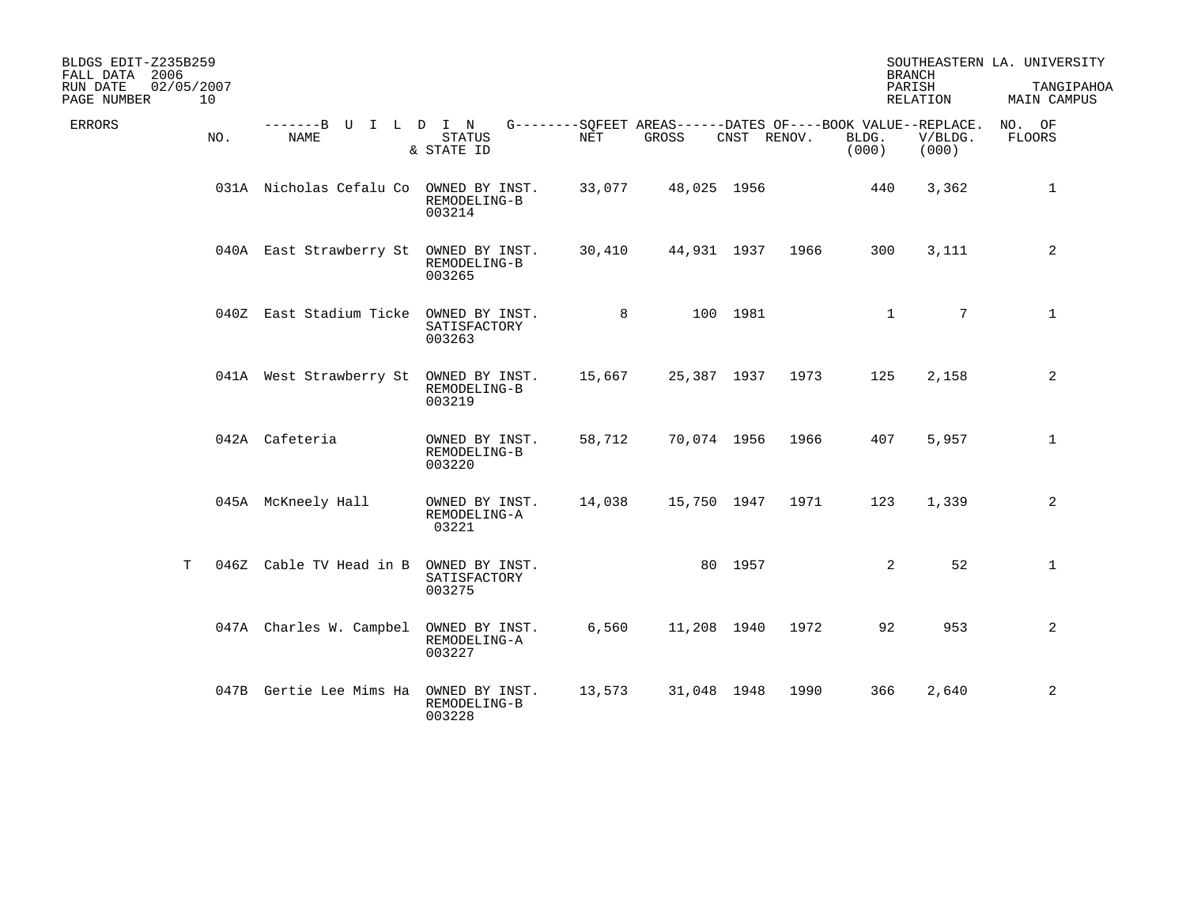| BLDGS EDIT-Z235B259<br>FALL DATA 2006<br>02/05/2007<br>RUN DATE<br>10<br>PAGE NUMBER |                                        |                                          |            |             |             |      | <b>BRANCH</b><br>PARISH                                                       | RELATION         | SOUTHEASTERN LA. UNIVERSITY<br>TANGIPAHOA<br>MAIN CAMPUS |
|--------------------------------------------------------------------------------------|----------------------------------------|------------------------------------------|------------|-------------|-------------|------|-------------------------------------------------------------------------------|------------------|----------------------------------------------------------|
| <b>ERRORS</b><br>NO.                                                                 | -------B U<br><b>NAME</b>              | I L D I N<br><b>STATUS</b><br>& STATE ID | <b>NET</b> | GROSS       | CNST RENOV. |      | G--------SOFEET AREAS------DATES OF----BOOK VALUE--REPLACE.<br>BLDG.<br>(000) | V/BLDG.<br>(000) | NO. OF<br><b>FLOORS</b>                                  |
|                                                                                      | 031A Nicholas Cefalu Co OWNED BY INST. | REMODELING-B<br>003214                   | 33,077     | 48,025 1956 |             |      | 440                                                                           | 3,362            | 1                                                        |
|                                                                                      | 040A East Strawberry St                | OWNED BY INST.<br>REMODELING-B<br>003265 | 30,410     |             | 44,931 1937 | 1966 | 300                                                                           | 3,111            | 2                                                        |
|                                                                                      | 040Z East Stadium Ticke OWNED BY INST. | SATISFACTORY<br>003263                   | 8          |             | 100 1981    |      | $\mathbf{1}$                                                                  | $7\overline{ }$  | $\mathbf{1}$                                             |
|                                                                                      | 041A West Strawberry St                | OWNED BY INST.<br>REMODELING-B<br>003219 | 15,667     | 25,387 1937 |             | 1973 | 125                                                                           | 2,158            | 2                                                        |
|                                                                                      | 042A Cafeteria                         | OWNED BY INST.<br>REMODELING-B<br>003220 | 58,712     | 70,074 1956 |             | 1966 | 407                                                                           | 5,957            | $\mathbf{1}$                                             |
|                                                                                      | 045A McKneely Hall                     | OWNED BY INST.<br>REMODELING-A<br>03221  | 14,038     | 15,750 1947 |             | 1971 | 123                                                                           | 1,339            | $\overline{a}$                                           |
| T                                                                                    | 046Z Cable TV Head in B                | OWNED BY INST.<br>SATISFACTORY<br>003275 |            |             | 80 1957     |      | 2                                                                             | 52               | $\mathbf{1}$                                             |
|                                                                                      | 047A Charles W. Campbel                | OWNED BY INST.<br>REMODELING-A<br>003227 | 6,560      | 11,208 1940 |             | 1972 | 92                                                                            | 953              | 2                                                        |
|                                                                                      | 047B Gertie Lee Mims Ha                | OWNED BY INST.<br>REMODELING-B<br>003228 | 13,573     | 31,048 1948 |             | 1990 | 366                                                                           | 2,640            | 2                                                        |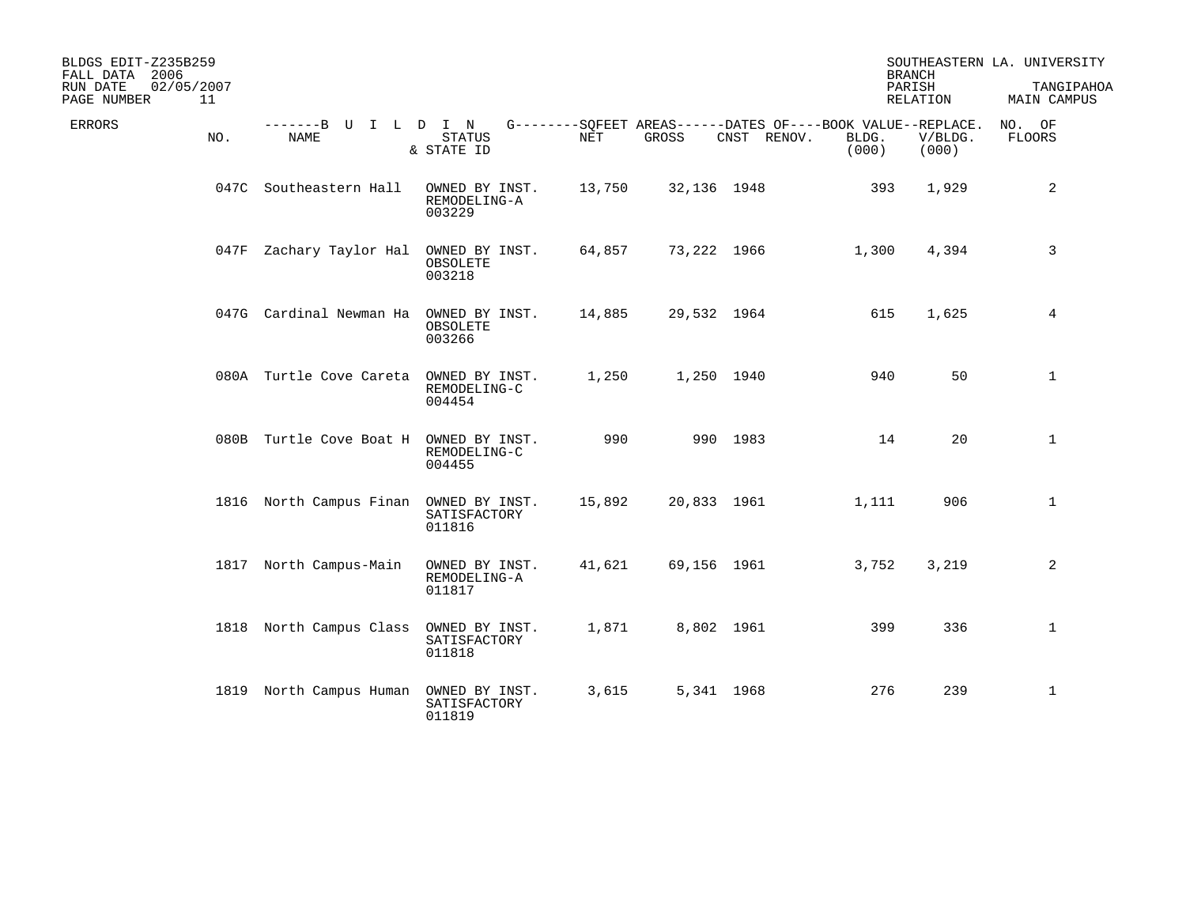| BLDGS EDIT-Z235B259<br>FALL DATA 2006<br>02/05/2007<br>RUN DATE<br>PAGE NUMBER<br>11 |                                        |                                          |        |       |                                                                            |                | <b>BRANCH</b><br>PARISH<br>RELATION | SOUTHEASTERN LA. UNIVERSITY<br>TANGIPAHOA<br>MAIN CAMPUS |
|--------------------------------------------------------------------------------------|----------------------------------------|------------------------------------------|--------|-------|----------------------------------------------------------------------------|----------------|-------------------------------------|----------------------------------------------------------|
| <b>ERRORS</b><br>NO.                                                                 | -------B U<br><b>NAME</b>              | I L D I N<br>STATUS<br>& STATE ID        | NET    | GROSS | G--------SQFEET AREAS------DATES OF----BOOK VALUE--REPLACE.<br>CNST RENOV. | BLDG.<br>(000) | V/BLDG.<br>(000)                    | NO. OF<br>FLOORS                                         |
|                                                                                      | 047C Southeastern Hall                 | OWNED BY INST.<br>REMODELING-A<br>003229 | 13,750 |       | 32,136 1948                                                                | 393            | 1,929                               | $\overline{a}$                                           |
|                                                                                      | 047F Zachary Taylor Hal                | OWNED BY INST.<br>OBSOLETE<br>003218     | 64,857 |       | 73,222 1966                                                                | 1,300          | 4,394                               | 3                                                        |
|                                                                                      | 047G Cardinal Newman Ha OWNED BY INST. | OBSOLETE<br>003266                       | 14,885 |       | 29,532 1964                                                                | 615            | 1,625                               | $\overline{4}$                                           |
|                                                                                      | 080A Turtle Cove Careta OWNED BY INST. | REMODELING-C<br>004454                   | 1,250  |       | 1,250 1940                                                                 | 940            | 50                                  | $\mathbf{1}$                                             |
|                                                                                      | 080B Turtle Cove Boat H OWNED BY INST. | REMODELING-C<br>004455                   | 990    |       | 990 1983                                                                   | 14             | 20                                  | $\mathbf{1}$                                             |
|                                                                                      | 1816 North Campus Finan OWNED BY INST. | SATISFACTORY<br>011816                   | 15,892 |       | 20,833 1961                                                                | 1,111          | 906                                 | $\mathbf{1}$                                             |
|                                                                                      | 1817 North Campus-Main                 | OWNED BY INST.<br>REMODELING-A<br>011817 | 41,621 |       | 69,156 1961                                                                | 3,752          | 3,219                               | 2                                                        |
|                                                                                      | 1818 North Campus Class                | OWNED BY INST.<br>SATISFACTORY<br>011818 | 1,871  |       | 8,802 1961                                                                 | 399            | 336                                 | $\mathbf{1}$                                             |
|                                                                                      | 1819 North Campus Human OWNED BY INST. | SATISFACTORY<br>011819                   | 3,615  |       | 5,341 1968                                                                 | 276            | 239                                 | $\mathbf{1}$                                             |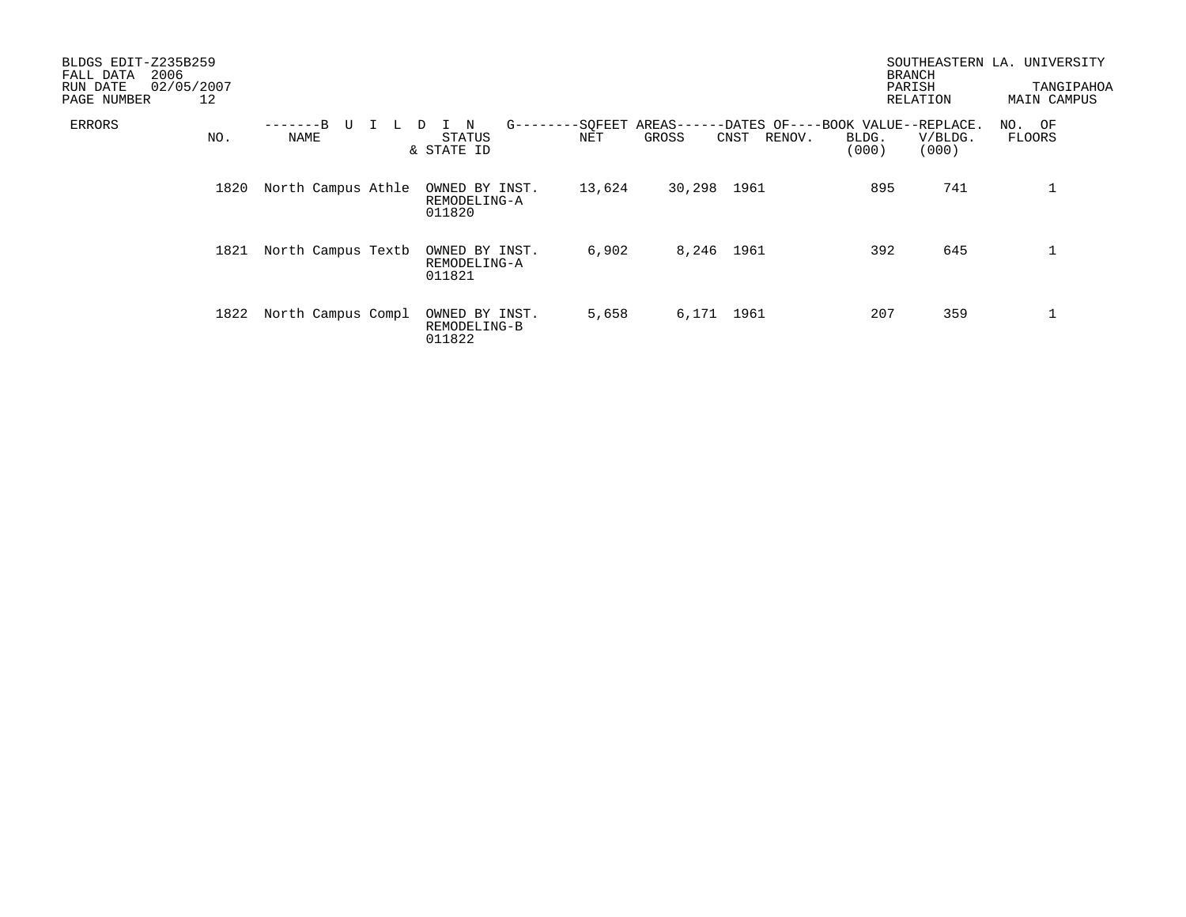| BLDGS EDIT-Z235B259<br>2006<br>FALL DATA<br>02/05/2007<br>RUN DATE<br>PAGE NUMBER<br>12 |                            |    |                                          |                   |            |                                                                    | <b>BRANCH</b><br>PARISH | RELATION         | SOUTHEASTERN LA. UNIVERSITY<br>TANGIPAHOA<br>MAIN CAMPUS |
|-----------------------------------------------------------------------------------------|----------------------------|----|------------------------------------------|-------------------|------------|--------------------------------------------------------------------|-------------------------|------------------|----------------------------------------------------------|
| <b>ERRORS</b><br>NO.                                                                    | -------B<br>U<br>NAME      | L. | $_{\rm N}$<br>D<br>STATUS<br>& STATE ID  | $G$ ------<br>NET | GROSS      | -SQFEET AREAS------DATES OF----BOOK VALUE--REPLACE.<br>CNST RENOV. | BLDG.<br>(000)          | V/BLDG.<br>(000) | NO. OF<br><b>FLOORS</b>                                  |
|                                                                                         | 1820<br>North Campus Athle |    | OWNED BY INST.<br>REMODELING-A<br>011820 | 13,624            | 30,298     | 1961                                                               | 895                     | 741              | $\mathbf{1}$                                             |
|                                                                                         | North Campus Textb<br>1821 |    | OWNED BY INST.<br>REMODELING-A<br>011821 | 6,902             | 8,246 1961 |                                                                    | 392                     | 645              | $\mathbf 1$                                              |
|                                                                                         | North Campus Compl<br>1822 |    | OWNED BY INST.<br>REMODELING-B<br>011822 | 5,658             | 6,171 1961 |                                                                    | 207                     | 359              | ᆚ                                                        |